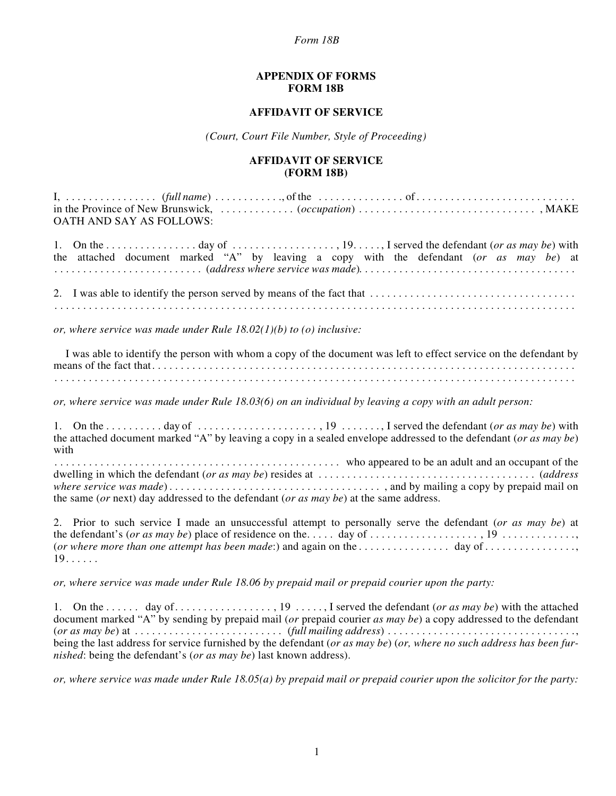## *Form 18B*

## **APPENDIX OF FORMS FORM 18B**

## **AFFIDAVIT OF SERVICE**

*(Court, Court File Number, Style of Proceeding)*

## **AFFIDAVIT OF SERVICE (FORM 18B)**

I, . . . . . . . . . . . . . . . . (*full name*) . . . . . . . . . . . ., of the . . . . . . . . . . . . . . . of . . . . . . . . . . . . . . . . . . . . . . . . . . . . in the Province of New Brunswick, . . . . . . . . . . . . . (*occupation*) . . . . . . . . . . . . . . . . . . . . . . . . . . . . . . . , MAKE OATH AND SAY AS FOLLOWS: 1. On the . . . . . . . . . . . . . . . . day of . . . . . . . . . . . . . . . . . . , 19. . . . . , I served the defendant (*or as may be*) with the attached document marked "A" by leaving a copy with the defendant (*or as may be*) at . . . . . . . . . . . . . . . . . . . . . . . . . . (*address where service was made*) . . . . . . . . . . . . . . . . . . . . . . . . . . . . . . . . . . . . . . 2. I was able to identify the person served by means of the fact that  $\dots \dots \dots \dots \dots \dots \dots \dots \dots \dots \dots \dots$ . . . . . . . . . . . . . . . . . . . . . . . . . . . . . . . . . . . . . . . . . . . . . . . . . . . . . . . . . . . . . . . . . . . . . . . . . . . . . . . . . . . . . . . . . . . *or, where service was made under Rule 18.02(1)(b) to (o) inclusive:* I was able to identify the person with whom a copy of the document was left to effect service on the defendant by means of the fact that. . . . . . . . . . . . . . . . . . . . . . . . . . . . . . . . . . . . . . . . . . . . . . . . . . . . . . . . . . . . . . . . . . . . . . . . . . . . . . . . . . . . . . . . . . . . . . . . . . . . . . . . . . . . . . . . . . . . . . . . . . . . . . . . . . . . . . . . . . . . . . . . . . . . . . . . . . . . . . . . . . . . . *or, where service was made under Rule 18.03(6) on an individual by leaving a copy with an adult person:* 1. On the . . . . . . . . . . day of . . . . . . . . . . . . . . . . . . . . . , 19 . . . . . . . , I served the defendant (*or as may be*) with the attached document marked "A" by leaving a copy in a sealed envelope addressed to the defendant (*or as may be*) with . . . . . . . . . . . . . . . . . . . . . . . . . . . . . . . . . . . . . . . . . . . . . . . . . . who appeared to be an adult and an occupant of the dwelling in which the defendant (*or as may be*) resides at . . . . . . . . . . . . . . . . . . . . . . . . . . . . . . . . . . . . . . (*address where service was made*) . . . . . . . . . . . . . . . . . . . . . . . . . . . . . . . . . . . . . , and by mailing a copy by prepaid mail on the same (*or* next) day addressed to the defendant (*or as may be*) at the same address. 2. Prior to such service I made an unsuccessful attempt to personally serve the defendant (*or as may be*) at the defendant's (*or as may be*) place of residence on the. . . . . day of . . . . . . . . . . . . . . . . . . . , 19 . . . . . . . . . . . . ., (*or where more than one attempt has been made*:) and again on the . . . . . . . . . . . . . . . . day of . . . . . . . . . . . . . . . .,  $19. \ldots$ . *or, where service was made under Rule 18.06 by prepaid mail or prepaid courier upon the party:* 1. On the . . . . . . day of. . . . . . . . . . . . . . . . . , 19 . . . . . , I served the defendant (*or as may be*) with the attached document marked "A" by sending by prepaid mail (*or* prepaid courier *as may be*) a copy addressed to the defendant (*or as may be*) at . . . . . . . . . . . . . . . . . . . . . . . . . . (*full mailing address*) . . . . . . . . . . . . . . . . . . . . . . . . . . . . . . . . ., being the last address for service furnished by the defendant (*or as may be*) (*or, where no such address has been furnished*: being the defendant's (*or as may be*) last known address).

*or, where service was made under Rule 18.05(a) by prepaid mail or prepaid courier upon the solicitor for the party:*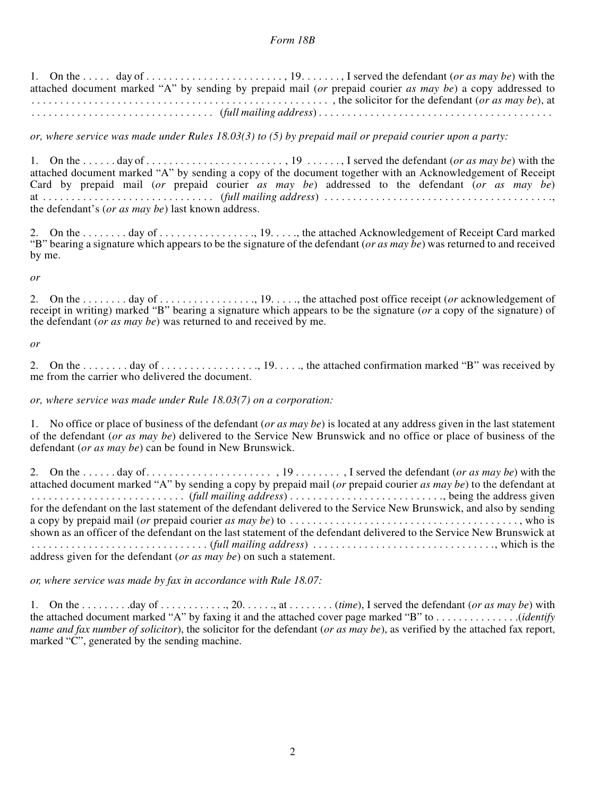1. On the . . . . . day of . . . . . . . . . . . . . . . . . . . . . . . . , 19. . . . . . . , I served the defendant (*or as may be*) with the attached document marked "A" by sending by prepaid mail (*or* prepaid courier *as may be*) a copy addressed to . . . . . . . . . . . . . . . . . . . . . . . . . . . . . . . . . . . . . . . . . . . . . . . . . . . . , the solicitor for the defendant (*or as may be*), at . . . . . . . . . . . . . . . . . . . . . . . . . . . . . . . . (*full mailing address*) . . . . . . . . . . . . . . . . . . . . . . . . . . . . . . . . . . . . . . . . .

*or, where service was made under Rules 18.03(3) to (5) by prepaid mail or prepaid courier upon a party:*

1. On the . . . . . . day of . . . . . . . . . . . . . . . . . . . . . . . . , 19 . . . . . . , I served the defendant (*or as may be*) with the attached document marked "A" by sending a copy of the document together with an Acknowledgement of Receipt Card by prepaid mail (*or* prepaid courier *as may be*) addressed to the defendant (*or as may be*) at . . . . . . . . . . . . . . . . . . . . . . . . . . . . . . (*full mailing address*) . . . . . . . . . . . . . . . . . . . . . . . . . . . . . . . . . . . . . . . ., the defendant's (*or as may be*) last known address.

2. On the . . . . . . . . day of . . . . . . . . . . . . . . . . ., 19. . . . ., the attached Acknowledgement of Receipt Card marked "B" bearing a signature which appears to be the signature of the defendant (*or as may be*) was returned to and received by me.

*or*

2. On the . . . . . . . . day of . . . . . . . . . . . . . . . . ., 19. . . . ., the attached post office receipt (*or* acknowledgement of receipt in writing) marked "B" bearing a signature which appears to be the signature (*or* a copy of the signature) of the defendant (*or as may be*) was returned to and received by me.

*or*

2. On the . . . . . . . . day of . . . . . . . . . . . . . . . . ., 19. . . . ., the attached confirmation marked "B" was received by me from the carrier who delivered the document.

*or, where service was made under Rule 18.03(7) on a corporation:*

1. No office or place of business of the defendant (*or as may be*) is located at any address given in the last statement of the defendant (*or as may be*) delivered to the Service New Brunswick and no office or place of business of the defendant (*or as may be*) can be found in New Brunswick.

2. On the . . . . . . day of. . . . . . . . . . . . . . . . . . . . . . , 19 . . . . . . . . , I served the defendant (*or as may be*) with the attached document marked "A" by sending a copy by prepaid mail (*or* prepaid courier *as may be*) to the defendant at . . . . . . . . . . . . . . . . . . . . . . . . . . . (*full mailing address*) . . . . . . . . . . . . . . . . . . . . . . . . . . ., being the address given for the defendant on the last statement of the defendant delivered to the Service New Brunswick, and also by sending a copy by prepaid mail (*or* prepaid courier *as may be*) to . . . . . . . . . . . . . . . . . . . . . . . . . . . . . . . . . . . . . . . . , who is shown as an officer of the defendant on the last statement of the defendant delivered to the Service New Brunswick at . . . . . . . . . . . . . . . . . . . . . . . . . . . . . . . (*full mailing address*) . . . . . . . . . . . . . . . . . . . . . . . . . . . . . . . ., which is the address given for the defendant (*or as may be*) on such a statement.

*or, where service was made by fax in accordance with Rule 18.07:*

1. On the . . . . . . . . .day of . . . . . . . . . . . ., 20. . . . . ., at . . . . . . . . (*time*), I served the defendant (*or as may be*) with the attached document marked "A" by faxing it and the attached cover page marked "B" to . . . . . . . . . . . . . . .(*identify name and fax number of solicitor*), the solicitor for the defendant (*or as may be*), as verified by the attached fax report, marked "C", generated by the sending machine.